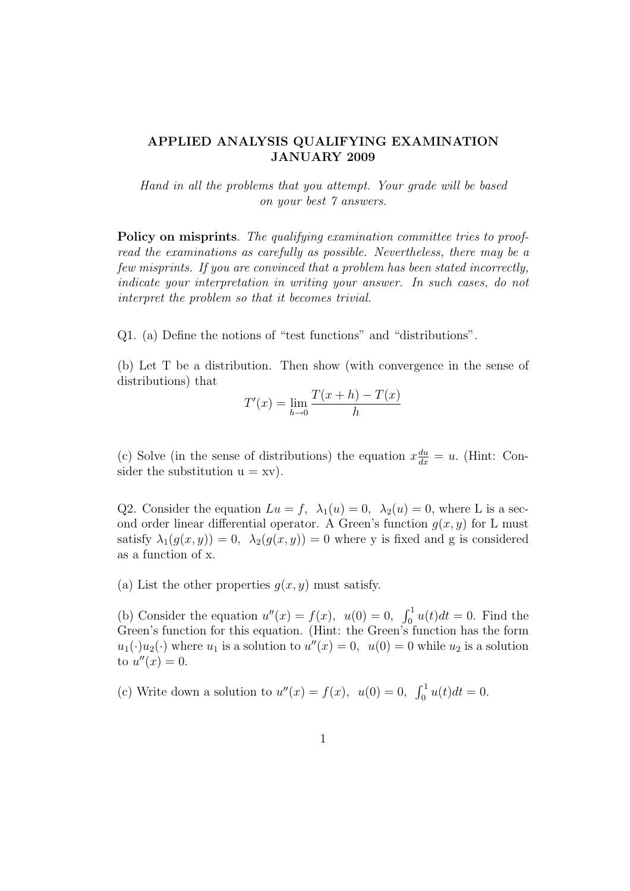## APPLIED ANALYSIS QUALIFYING EXAMINATION JANUARY 2009

Hand in all the problems that you attempt. Your grade will be based on your best 7 answers.

Policy on misprints. The qualifying examination committee tries to proofread the examinations as carefully as possible. Nevertheless, there may be a few misprints. If you are convinced that a problem has been stated incorrectly, indicate your interpretation in writing your answer. In such cases, do not interpret the problem so that it becomes trivial.

Q1. (a) Define the notions of "test functions" and "distributions".

(b) Let T be a distribution. Then show (with convergence in the sense of distributions) that

$$
T'(x) = \lim_{h \to 0} \frac{T(x+h) - T(x)}{h}
$$

(c) Solve (in the sense of distributions) the equation  $x \frac{du}{dx} = u$ . (Hint: Consider the substitution  $u = xv$ .

Q2. Consider the equation  $Lu = f$ ,  $\lambda_1(u) = 0$ ,  $\lambda_2(u) = 0$ , where L is a second order linear differential operator. A Green's function  $g(x, y)$  for L must satisfy  $\lambda_1(g(x,y)) = 0$ ,  $\lambda_2(g(x,y)) = 0$  where y is fixed and g is considered as a function of x.

(a) List the other properties  $q(x, y)$  must satisfy.

(b) Consider the equation  $u''(x) = f(x)$ ,  $u(0) = 0$ ,  $\int_0^1 u(t)dt = 0$ . Find the Green's function for this equation. (Hint: the Green's function has the form  $u_1(\cdot)u_2(\cdot)$  where  $u_1$  is a solution to  $u''(x) = 0$ ,  $u(0) = 0$  while  $u_2$  is a solution to  $u''(x) = 0$ .

(c) Write down a solution to  $u''(x) = f(x)$ ,  $u(0) = 0$ ,  $\int_0^1 u(t)dt = 0$ .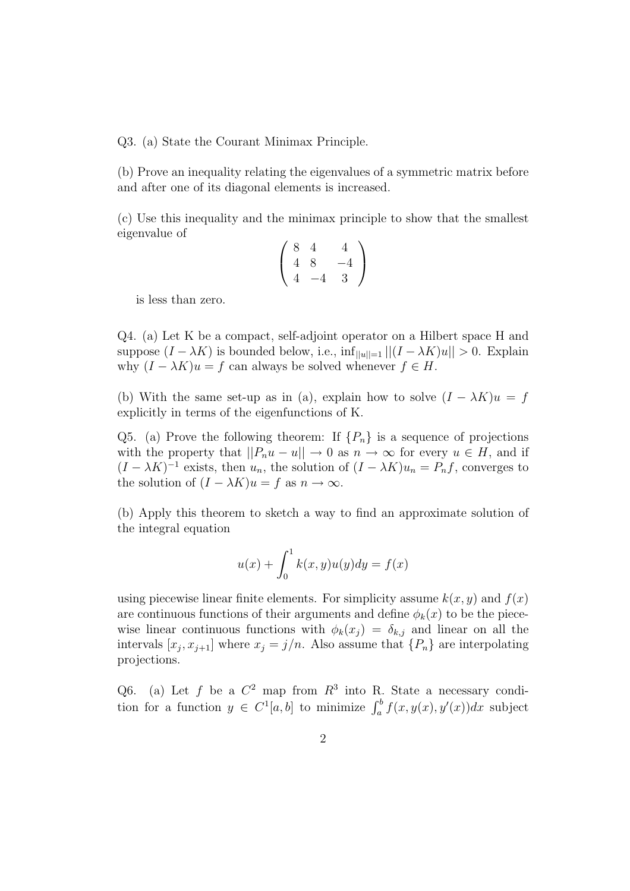Q3. (a) State the Courant Minimax Principle.

(b) Prove an inequality relating the eigenvalues of a symmetric matrix before and after one of its diagonal elements is increased.

(c) Use this inequality and the minimax principle to show that the smallest eigenvalue of

$$
\left(\begin{array}{rrr} 8 & 4 & 4 \\ 4 & 8 & -4 \\ 4 & -4 & 3 \end{array}\right)
$$

is less than zero.

Q4. (a) Let K be a compact, self-adjoint operator on a Hilbert space H and suppose  $(I - \lambda K)$  is bounded below, i.e.,  $\inf_{||u||=1} ||(I - \lambda K)u|| > 0$ . Explain why  $(I - \lambda K)u = f$  can always be solved whenever  $f \in H$ .

(b) With the same set-up as in (a), explain how to solve  $(I - \lambda K)u = f$ explicitly in terms of the eigenfunctions of K.

Q5. (a) Prove the following theorem: If  $\{P_n\}$  is a sequence of projections with the property that  $||P_nu - u|| \to 0$  as  $n \to \infty$  for every  $u \in H$ , and if  $(I - \lambda K)^{-1}$  exists, then  $u_n$ , the solution of  $(I - \lambda K)u_n = P_nf$ , converges to the solution of  $(I - \lambda K)u = f$  as  $n \to \infty$ .

(b) Apply this theorem to sketch a way to find an approximate solution of the integral equation

$$
u(x) + \int_0^1 k(x, y)u(y)dy = f(x)
$$

using piecewise linear finite elements. For simplicity assume  $k(x, y)$  and  $f(x)$ are continuous functions of their arguments and define  $\phi_k(x)$  to be the piecewise linear continuous functions with  $\phi_k(x_i) = \delta_{k,i}$  and linear on all the intervals  $[x_j, x_{j+1}]$  where  $x_j = j/n$ . Also assume that  $\{P_n\}$  are interpolating projections.

Q6. (a) Let f be a  $C^2$  map from  $R^3$  into R. State a necessary condition for a function  $y \in C^1[a, b]$  to minimize  $\int_a^b f(x, y(x), y'(x)) dx$  subject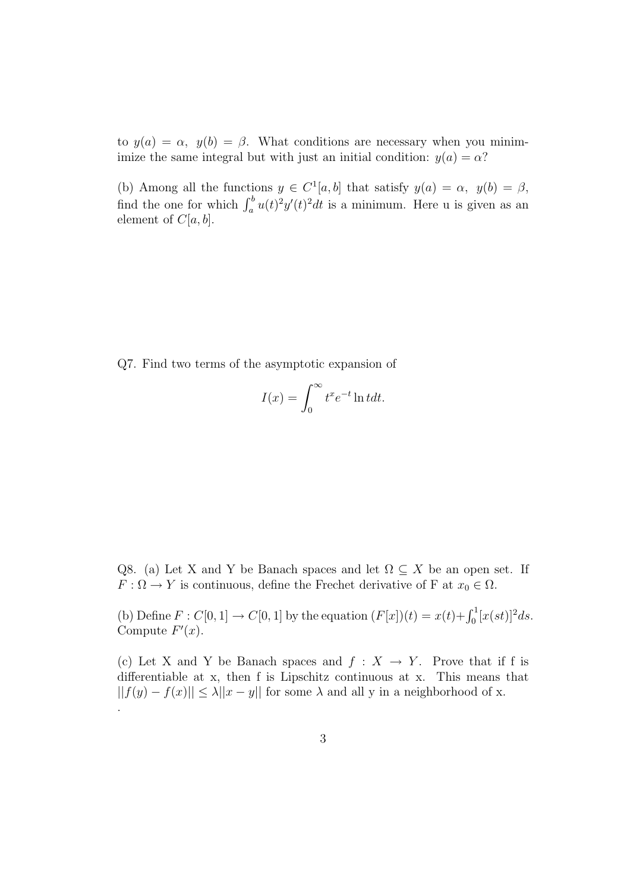to  $y(a) = \alpha$ ,  $y(b) = \beta$ . What conditions are necessary when you minimimize the same integral but with just an initial condition:  $y(a) = \alpha$ ?

(b) Among all the functions  $y \in C^1[a, b]$  that satisfy  $y(a) = \alpha$ ,  $y(b) = \beta$ , find the one for which  $\int_a^b u(t)^2 y'(t)^2 dt$  is a minimum. Here u is given as an element of  $C[a,b]$ .

Q7. Find two terms of the asymptotic expansion of

$$
I(x) = \int_0^\infty t^x e^{-t} \ln t dt.
$$

Q8. (a) Let X and Y be Banach spaces and let  $\Omega \subseteq X$  be an open set. If  $F: \Omega \to Y$  is continuous, define the Frechet derivative of F at  $x_0 \in \Omega$ .

(b) Define  $F: C[0, 1] \to C[0, 1]$  by the equation  $(F[x])(t) = x(t) + \int_0^1 [x(st)]^2 ds$ . Compute  $F'(x)$ .

(c) Let X and Y be Banach spaces and  $f : X \to Y$ . Prove that if f is differentiable at x, then f is Lipschitz continuous at x. This means that  $||f(y) - f(x)|| \leq \lambda ||x - y||$  for some  $\lambda$  and all y in a neighborhood of x. .